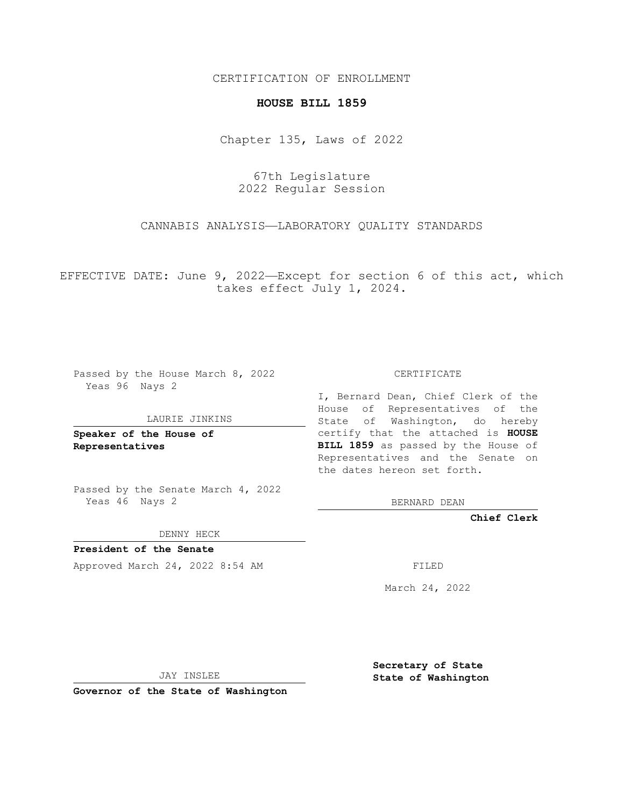# CERTIFICATION OF ENROLLMENT

#### **HOUSE BILL 1859**

Chapter 135, Laws of 2022

67th Legislature 2022 Regular Session

CANNABIS ANALYSIS—LABORATORY QUALITY STANDARDS

EFFECTIVE DATE: June 9, 2022—Except for section 6 of this act, which takes effect July 1, 2024.

Passed by the House March 8, 2022 Yeas 96 Nays 2

#### LAURIE JINKINS

**Speaker of the House of Representatives**

Passed by the Senate March 4, 2022 Yeas 46 Nays 2

DENNY HECK

**President of the Senate** Approved March 24, 2022 8:54 AM FILED

CERTIFICATE

I, Bernard Dean, Chief Clerk of the House of Representatives of the State of Washington, do hereby certify that the attached is **HOUSE BILL 1859** as passed by the House of Representatives and the Senate on the dates hereon set forth.

BERNARD DEAN

**Chief Clerk**

March 24, 2022

JAY INSLEE

**Governor of the State of Washington**

**Secretary of State State of Washington**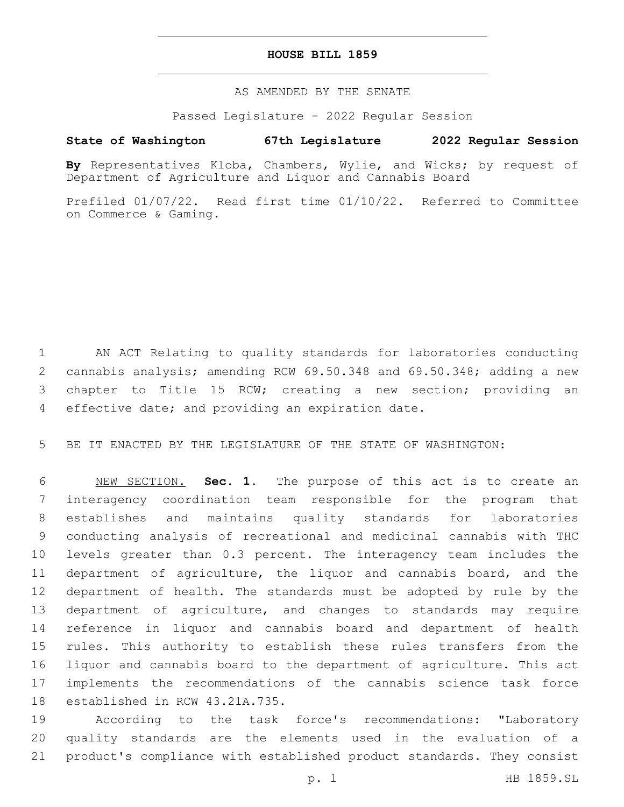### **HOUSE BILL 1859**

# AS AMENDED BY THE SENATE

Passed Legislature - 2022 Regular Session

# **State of Washington 67th Legislature 2022 Regular Session**

**By** Representatives Kloba, Chambers, Wylie, and Wicks; by request of Department of Agriculture and Liquor and Cannabis Board

Prefiled 01/07/22. Read first time 01/10/22. Referred to Committee on Commerce & Gaming.

 AN ACT Relating to quality standards for laboratories conducting cannabis analysis; amending RCW 69.50.348 and 69.50.348; adding a new chapter to Title 15 RCW; creating a new section; providing an 4 effective date; and providing an expiration date.

BE IT ENACTED BY THE LEGISLATURE OF THE STATE OF WASHINGTON:

 NEW SECTION. **Sec. 1.** The purpose of this act is to create an interagency coordination team responsible for the program that establishes and maintains quality standards for laboratories conducting analysis of recreational and medicinal cannabis with THC levels greater than 0.3 percent. The interagency team includes the department of agriculture, the liquor and cannabis board, and the department of health. The standards must be adopted by rule by the department of agriculture, and changes to standards may require reference in liquor and cannabis board and department of health rules. This authority to establish these rules transfers from the liquor and cannabis board to the department of agriculture. This act implements the recommendations of the cannabis science task force established in RCW 43.21A.735.

 According to the task force's recommendations: "Laboratory quality standards are the elements used in the evaluation of a product's compliance with established product standards. They consist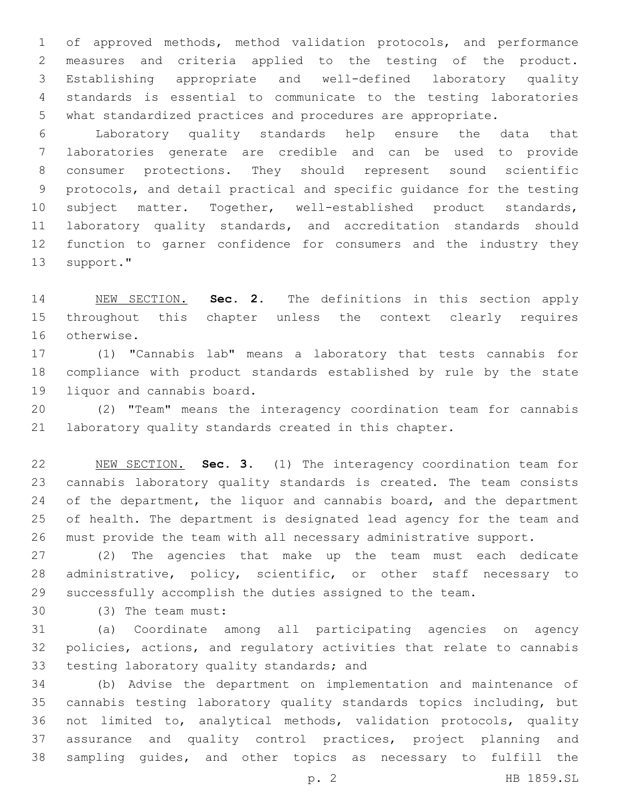of approved methods, method validation protocols, and performance measures and criteria applied to the testing of the product. Establishing appropriate and well-defined laboratory quality standards is essential to communicate to the testing laboratories what standardized practices and procedures are appropriate.

 Laboratory quality standards help ensure the data that laboratories generate are credible and can be used to provide consumer protections. They should represent sound scientific protocols, and detail practical and specific guidance for the testing subject matter. Together, well-established product standards, laboratory quality standards, and accreditation standards should function to garner confidence for consumers and the industry they 13 support."

 NEW SECTION. **Sec. 2.** The definitions in this section apply throughout this chapter unless the context clearly requires otherwise.

 (1) "Cannabis lab" means a laboratory that tests cannabis for compliance with product standards established by rule by the state 19 liquor and cannabis board.

 (2) "Team" means the interagency coordination team for cannabis laboratory quality standards created in this chapter.

 NEW SECTION. **Sec. 3.** (1) The interagency coordination team for cannabis laboratory quality standards is created. The team consists 24 of the department, the liquor and cannabis board, and the department of health. The department is designated lead agency for the team and must provide the team with all necessary administrative support.

 (2) The agencies that make up the team must each dedicate administrative, policy, scientific, or other staff necessary to successfully accomplish the duties assigned to the team.

(3) The team must:30

 (a) Coordinate among all participating agencies on agency policies, actions, and regulatory activities that relate to cannabis 33 testing laboratory quality standards; and

 (b) Advise the department on implementation and maintenance of cannabis testing laboratory quality standards topics including, but not limited to, analytical methods, validation protocols, quality assurance and quality control practices, project planning and sampling guides, and other topics as necessary to fulfill the

p. 2 HB 1859.SL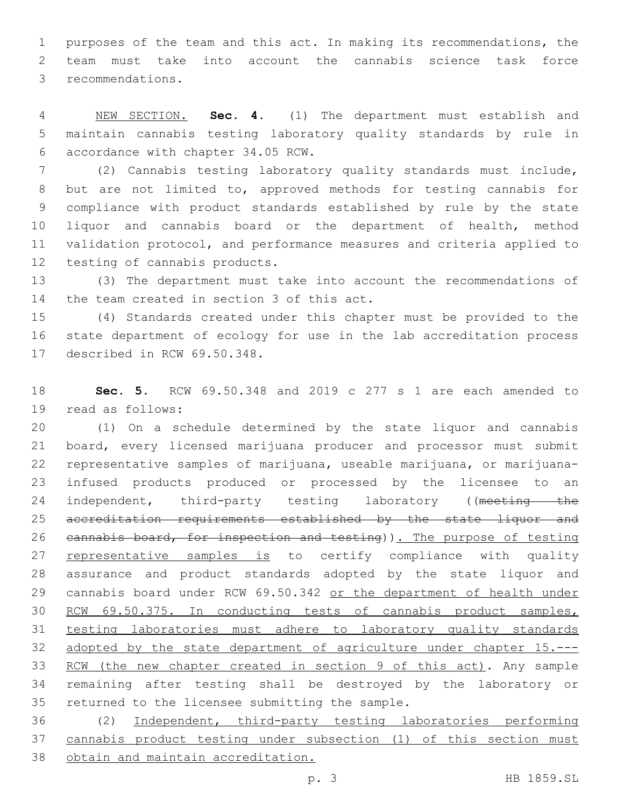purposes of the team and this act. In making its recommendations, the team must take into account the cannabis science task force 3 recommendations.

 NEW SECTION. **Sec. 4.** (1) The department must establish and maintain cannabis testing laboratory quality standards by rule in accordance with chapter 34.05 RCW.

 (2) Cannabis testing laboratory quality standards must include, but are not limited to, approved methods for testing cannabis for compliance with product standards established by rule by the state liquor and cannabis board or the department of health, method validation protocol, and performance measures and criteria applied to 12 testing of cannabis products.

 (3) The department must take into account the recommendations of 14 the team created in section 3 of this act.

 (4) Standards created under this chapter must be provided to the state department of ecology for use in the lab accreditation process 17 described in RCW 69.50.348.

 **Sec. 5.** RCW 69.50.348 and 2019 c 277 s 1 are each amended to 19 read as follows:

 (1) On a schedule determined by the state liquor and cannabis board, every licensed marijuana producer and processor must submit representative samples of marijuana, useable marijuana, or marijuana- infused products produced or processed by the licensee to an 24 independent, third-party testing laboratory ((meeting the accreditation requirements established by the state liquor and 26 cannabis board, for inspection and testing)). The purpose of testing 27 representative samples is to certify compliance with quality assurance and product standards adopted by the state liquor and 29 cannabis board under RCW 69.50.342 or the department of health under RCW 69.50.375. In conducting tests of cannabis product samples, testing laboratories must adhere to laboratory quality standards adopted by the state department of agriculture under chapter 15.--- 33 RCW (the new chapter created in section 9 of this act). Any sample remaining after testing shall be destroyed by the laboratory or 35 returned to the licensee submitting the sample.

 (2) Independent, third-party testing laboratories performing cannabis product testing under subsection (1) of this section must obtain and maintain accreditation.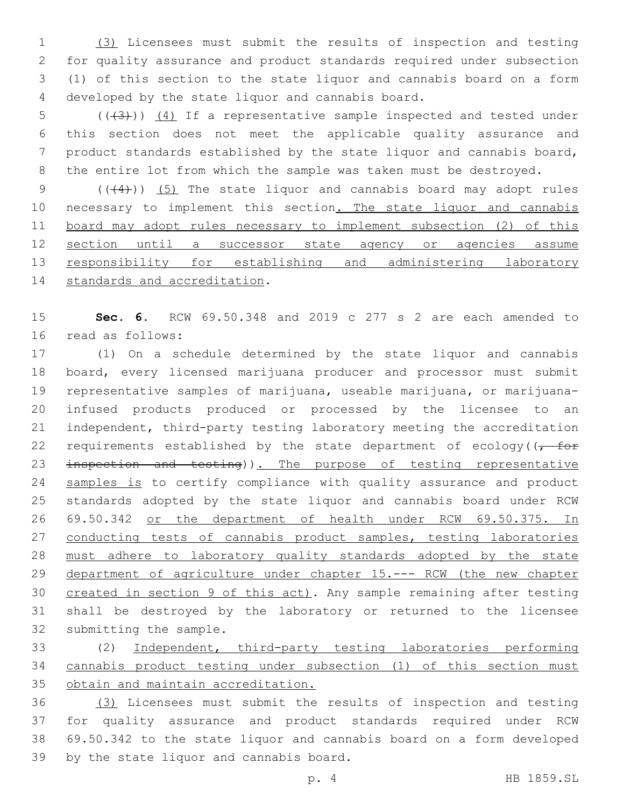(3) Licensees must submit the results of inspection and testing for quality assurance and product standards required under subsection (1) of this section to the state liquor and cannabis board on a form 4 developed by the state liquor and cannabis board.

5 (( $(3)$ )) (4) If a representative sample inspected and tested under this section does not meet the applicable quality assurance and product standards established by the state liquor and cannabis board, the entire lot from which the sample was taken must be destroyed.

9  $((+4))$   $(5)$  The state liquor and cannabis board may adopt rules 10 necessary to implement this section. The state liquor and cannabis board may adopt rules necessary to implement subsection (2) of this section until a successor state agency or agencies assume 13 responsibility for establishing and administering laboratory 14 standards and accreditation.

 **Sec. 6.** RCW 69.50.348 and 2019 c 277 s 2 are each amended to 16 read as follows:

 (1) On a schedule determined by the state liquor and cannabis board, every licensed marijuana producer and processor must submit representative samples of marijuana, useable marijuana, or marijuana- infused products produced or processed by the licensee to an independent, third-party testing laboratory meeting the accreditation 22 requirements established by the state department of ecology((, for 23 inspection and testing)). The purpose of testing representative 24 samples is to certify compliance with quality assurance and product standards adopted by the state liquor and cannabis board under RCW 69.50.342 or the department of health under RCW 69.50.375. In 27 conducting tests of cannabis product samples, testing laboratories must adhere to laboratory quality standards adopted by the state department of agriculture under chapter 15.--- RCW (the new chapter 30 created in section 9 of this act). Any sample remaining after testing shall be destroyed by the laboratory or returned to the licensee 32 submitting the sample.

 (2) Independent, third-party testing laboratories performing cannabis product testing under subsection (1) of this section must obtain and maintain accreditation.

 (3) Licensees must submit the results of inspection and testing for quality assurance and product standards required under RCW 69.50.342 to the state liquor and cannabis board on a form developed 39 by the state liquor and cannabis board.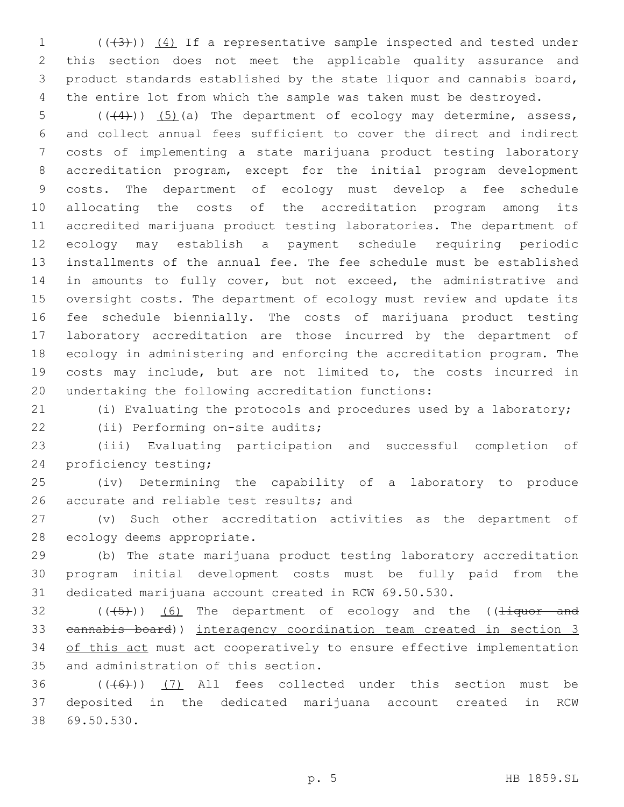1 (((43))) (4) If a representative sample inspected and tested under this section does not meet the applicable quality assurance and product standards established by the state liquor and cannabis board, the entire lot from which the sample was taken must be destroyed.

 $((+4))$   $(5)$  (a) The department of ecology may determine, assess, and collect annual fees sufficient to cover the direct and indirect costs of implementing a state marijuana product testing laboratory accreditation program, except for the initial program development costs. The department of ecology must develop a fee schedule allocating the costs of the accreditation program among its accredited marijuana product testing laboratories. The department of ecology may establish a payment schedule requiring periodic installments of the annual fee. The fee schedule must be established 14 in amounts to fully cover, but not exceed, the administrative and oversight costs. The department of ecology must review and update its fee schedule biennially. The costs of marijuana product testing laboratory accreditation are those incurred by the department of ecology in administering and enforcing the accreditation program. The costs may include, but are not limited to, the costs incurred in undertaking the following accreditation functions:

(i) Evaluating the protocols and procedures used by a laboratory;

22 (ii) Performing on-site audits;

 (iii) Evaluating participation and successful completion of 24 proficiency testing;

 (iv) Determining the capability of a laboratory to produce 26 accurate and reliable test results; and

 (v) Such other accreditation activities as the department of 28 ecology deems appropriate.

 (b) The state marijuana product testing laboratory accreditation program initial development costs must be fully paid from the dedicated marijuana account created in RCW 69.50.530.

 (( $(45)$ )) (6) The department of ecology and the (( $\frac{1}{4}$ quor and cannabis board)) interagency coordination team created in section 3 34 of this act must act cooperatively to ensure effective implementation 35 and administration of this section.

 ( $(\overline{6})$ ) (7) All fees collected under this section must be deposited in the dedicated marijuana account created in RCW 69.50.530.38